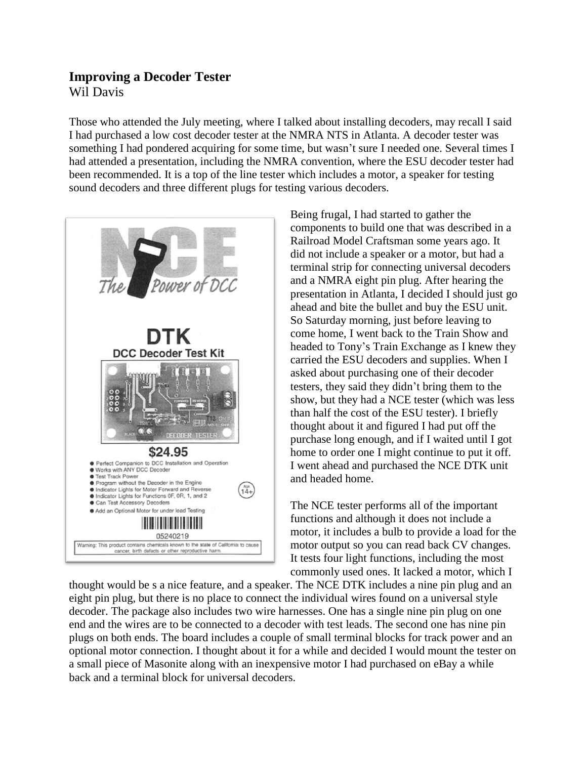## **Improving a Decoder Tester** Wil Davis

Those who attended the July meeting, where I talked about installing decoders, may recall I said I had purchased a low cost decoder tester at the NMRA NTS in Atlanta. A decoder tester was something I had pondered acquiring for some time, but wasn't sure I needed one. Several times I had attended a presentation, including the NMRA convention, where the ESU decoder tester had been recommended. It is a top of the line tester which includes a motor, a speaker for testing sound decoders and three different plugs for testing various decoders.



Being frugal, I had started to gather the components to build one that was described in a Railroad Model Craftsman some years ago. It did not include a speaker or a motor, but had a terminal strip for connecting universal decoders and a NMRA eight pin plug. After hearing the presentation in Atlanta, I decided I should just go ahead and bite the bullet and buy the ESU unit. So Saturday morning, just before leaving to come home, I went back to the Train Show and headed to Tony's Train Exchange as I knew they carried the ESU decoders and supplies. When I asked about purchasing one of their decoder testers, they said they didn't bring them to the show, but they had a NCE tester (which was less than half the cost of the ESU tester). I briefly thought about it and figured I had put off the purchase long enough, and if I waited until I got home to order one I might continue to put it off. I went ahead and purchased the NCE DTK unit and headed home.

The NCE tester performs all of the important functions and although it does not include a motor, it includes a bulb to provide a load for the motor output so you can read back CV changes. It tests four light functions, including the most commonly used ones. It lacked a motor, which I

thought would be s a nice feature, and a speaker. The NCE DTK includes a nine pin plug and an eight pin plug, but there is no place to connect the individual wires found on a universal style decoder. The package also includes two wire harnesses. One has a single nine pin plug on one end and the wires are to be connected to a decoder with test leads. The second one has nine pin plugs on both ends. The board includes a couple of small terminal blocks for track power and an optional motor connection. I thought about it for a while and decided I would mount the tester on a small piece of Masonite along with an inexpensive motor I had purchased on eBay a while back and a terminal block for universal decoders.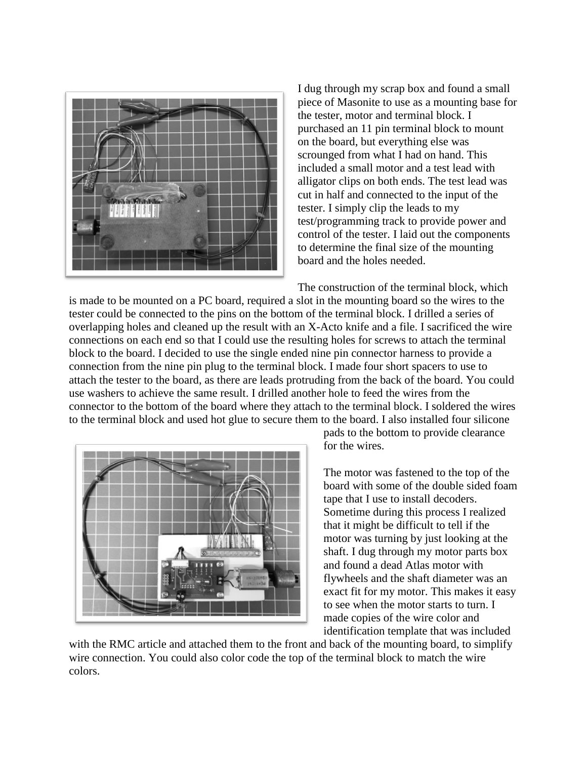

I dug through my scrap box and found a small piece of Masonite to use as a mounting base for the tester, motor and terminal block. I purchased an 11 pin terminal block to mount on the board, but everything else was scrounged from what I had on hand. This included a small motor and a test lead with alligator clips on both ends. The test lead was cut in half and connected to the input of the tester. I simply clip the leads to my test/programming track to provide power and control of the tester. I laid out the components to determine the final size of the mounting board and the holes needed.

The construction of the terminal block, which

is made to be mounted on a PC board, required a slot in the mounting board so the wires to the tester could be connected to the pins on the bottom of the terminal block. I drilled a series of overlapping holes and cleaned up the result with an X-Acto knife and a file. I sacrificed the wire connections on each end so that I could use the resulting holes for screws to attach the terminal block to the board. I decided to use the single ended nine pin connector harness to provide a connection from the nine pin plug to the terminal block. I made four short spacers to use to attach the tester to the board, as there are leads protruding from the back of the board. You could use washers to achieve the same result. I drilled another hole to feed the wires from the connector to the bottom of the board where they attach to the terminal block. I soldered the wires to the terminal block and used hot glue to secure them to the board. I also installed four silicone



pads to the bottom to provide clearance for the wires.

The motor was fastened to the top of the board with some of the double sided foam tape that I use to install decoders. Sometime during this process I realized that it might be difficult to tell if the motor was turning by just looking at the shaft. I dug through my motor parts box and found a dead Atlas motor with flywheels and the shaft diameter was an exact fit for my motor. This makes it easy to see when the motor starts to turn. I made copies of the wire color and identification template that was included

with the RMC article and attached them to the front and back of the mounting board, to simplify wire connection. You could also color code the top of the terminal block to match the wire colors.